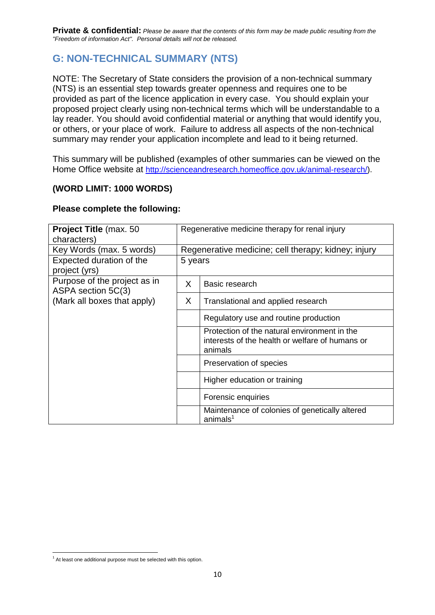## **G: NON-TECHNICAL SUMMARY (NTS)**

NOTE: The Secretary of State considers the provision of a non-technical summary (NTS) is an essential step towards greater openness and requires one to be provided as part of the licence application in every case. You should explain your proposed project clearly using non-technical terms which will be understandable to a lay reader. You should avoid confidential material or anything that would identify you, or others, or your place of work. Failure to address all aspects of the non-technical summary may render your application incomplete and lead to it being returned.

This summary will be published (examples of other summaries can be viewed on the Home Office website at [http://scienceandresearch.homeoffice.gov.uk/animal-research/\)](http://scienceandresearch.homeoffice.gov.uk/animal-research/).

## **(WORD LIMIT: 1000 WORDS)**

## **Please complete the following:**

| Project Title (max. 50<br>characters)              | Regenerative medicine therapy for renal injury      |                                                                                                            |  |  |
|----------------------------------------------------|-----------------------------------------------------|------------------------------------------------------------------------------------------------------------|--|--|
| Key Words (max. 5 words)                           | Regenerative medicine; cell therapy; kidney; injury |                                                                                                            |  |  |
| Expected duration of the<br>project (yrs)          | 5 years                                             |                                                                                                            |  |  |
| Purpose of the project as in<br>ASPA section 5C(3) | X.                                                  | Basic research                                                                                             |  |  |
| (Mark all boxes that apply)                        | X                                                   | Translational and applied research                                                                         |  |  |
|                                                    |                                                     | Regulatory use and routine production                                                                      |  |  |
|                                                    |                                                     | Protection of the natural environment in the<br>interests of the health or welfare of humans or<br>animals |  |  |
|                                                    |                                                     | Preservation of species                                                                                    |  |  |
|                                                    |                                                     | Higher education or training                                                                               |  |  |
|                                                    |                                                     | Forensic enquiries                                                                                         |  |  |
|                                                    |                                                     | Maintenance of colonies of genetically altered<br>animals $1$                                              |  |  |

 $1$  At least one additional purpose must be selected with this option.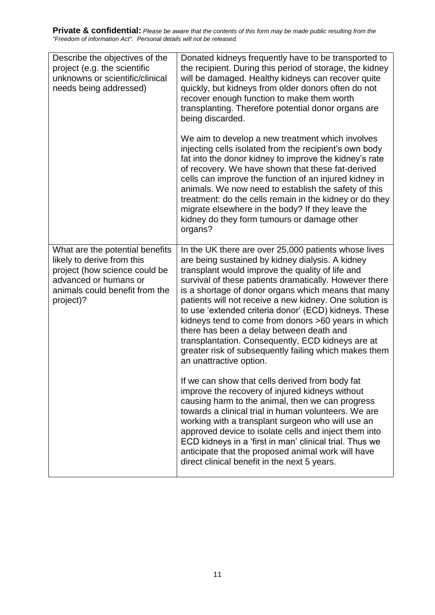| Describe the objectives of the<br>project (e.g. the scientific<br>unknowns or scientific/clinical<br>needs being addressed)                                            | Donated kidneys frequently have to be transported to<br>the recipient. During this period of storage, the kidney<br>will be damaged. Healthy kidneys can recover quite<br>quickly, but kidneys from older donors often do not<br>recover enough function to make them worth<br>transplanting. Therefore potential donor organs are<br>being discarded.                                                                                                                                                                                                                                                                                        |  |  |
|------------------------------------------------------------------------------------------------------------------------------------------------------------------------|-----------------------------------------------------------------------------------------------------------------------------------------------------------------------------------------------------------------------------------------------------------------------------------------------------------------------------------------------------------------------------------------------------------------------------------------------------------------------------------------------------------------------------------------------------------------------------------------------------------------------------------------------|--|--|
|                                                                                                                                                                        | We aim to develop a new treatment which involves<br>injecting cells isolated from the recipient's own body<br>fat into the donor kidney to improve the kidney's rate<br>of recovery. We have shown that these fat-derived<br>cells can improve the function of an injured kidney in<br>animals. We now need to establish the safety of this<br>treatment: do the cells remain in the kidney or do they<br>migrate elsewhere in the body? If they leave the<br>kidney do they form tumours or damage other<br>organs?                                                                                                                          |  |  |
| What are the potential benefits<br>likely to derive from this<br>project (how science could be<br>advanced or humans or<br>animals could benefit from the<br>project)? | In the UK there are over 25,000 patients whose lives<br>are being sustained by kidney dialysis. A kidney<br>transplant would improve the quality of life and<br>survival of these patients dramatically. However there<br>is a shortage of donor organs which means that many<br>patients will not receive a new kidney. One solution is<br>to use 'extended criteria donor' (ECD) kidneys. These<br>kidneys tend to come from donors >60 years in which<br>there has been a delay between death and<br>transplantation. Consequently, ECD kidneys are at<br>greater risk of subsequently failing which makes them<br>an unattractive option. |  |  |
|                                                                                                                                                                        | If we can show that cells derived from body fat<br>improve the recovery of injured kidneys without<br>causing harm to the animal, then we can progress<br>towards a clinical trial in human volunteers. We are<br>working with a transplant surgeon who will use an<br>approved device to isolate cells and inject them into<br>ECD kidneys in a 'first in man' clinical trial. Thus we<br>anticipate that the proposed animal work will have<br>direct clinical benefit in the next 5 years.                                                                                                                                                 |  |  |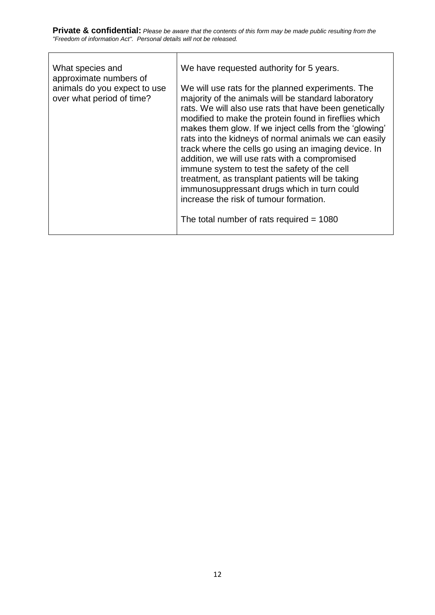| What species and<br>approximate numbers of<br>animals do you expect to use | We have requested authority for 5 years.<br>We will use rats for the planned experiments. The                                                                                                                                                                                                                                                                                                                                                                                                                                                                                                                                                 |  |  |  |
|----------------------------------------------------------------------------|-----------------------------------------------------------------------------------------------------------------------------------------------------------------------------------------------------------------------------------------------------------------------------------------------------------------------------------------------------------------------------------------------------------------------------------------------------------------------------------------------------------------------------------------------------------------------------------------------------------------------------------------------|--|--|--|
| over what period of time?                                                  | majority of the animals will be standard laboratory<br>rats. We will also use rats that have been genetically<br>modified to make the protein found in fireflies which<br>makes them glow. If we inject cells from the 'glowing'<br>rats into the kidneys of normal animals we can easily<br>track where the cells go using an imaging device. In<br>addition, we will use rats with a compromised<br>immune system to test the safety of the cell<br>treatment, as transplant patients will be taking<br>immunosuppressant drugs which in turn could<br>increase the risk of tumour formation.<br>The total number of rats required $= 1080$ |  |  |  |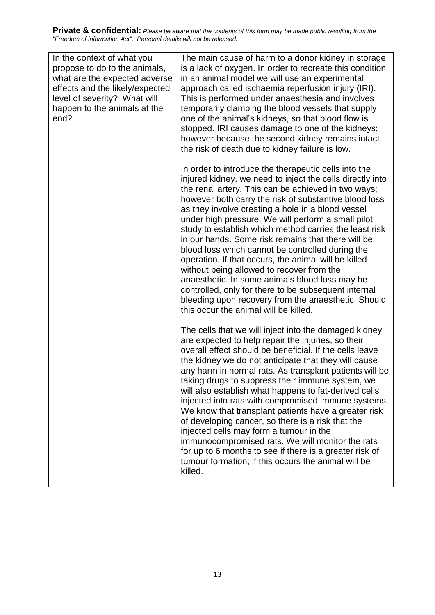| In the context of what you<br>propose to do to the animals,<br>what are the expected adverse<br>effects and the likely/expected<br>level of severity? What will<br>happen to the animals at the<br>end? | The main cause of harm to a donor kidney in storage<br>is a lack of oxygen. In order to recreate this condition<br>in an animal model we will use an experimental<br>approach called ischaemia reperfusion injury (IRI).<br>This is performed under anaesthesia and involves<br>temporarily clamping the blood vessels that supply<br>one of the animal's kidneys, so that blood flow is<br>stopped. IRI causes damage to one of the kidneys;<br>however because the second kidney remains intact<br>the risk of death due to kidney failure is low.                                                                                                                                                                                                                                                                            |  |  |
|---------------------------------------------------------------------------------------------------------------------------------------------------------------------------------------------------------|---------------------------------------------------------------------------------------------------------------------------------------------------------------------------------------------------------------------------------------------------------------------------------------------------------------------------------------------------------------------------------------------------------------------------------------------------------------------------------------------------------------------------------------------------------------------------------------------------------------------------------------------------------------------------------------------------------------------------------------------------------------------------------------------------------------------------------|--|--|
|                                                                                                                                                                                                         | In order to introduce the therapeutic cells into the<br>injured kidney, we need to inject the cells directly into<br>the renal artery. This can be achieved in two ways;<br>however both carry the risk of substantive blood loss<br>as they involve creating a hole in a blood vessel<br>under high pressure. We will perform a small pilot<br>study to establish which method carries the least risk<br>in our hands. Some risk remains that there will be<br>blood loss which cannot be controlled during the<br>operation. If that occurs, the animal will be killed<br>without being allowed to recover from the<br>anaesthetic. In some animals blood loss may be<br>controlled, only for there to be subsequent internal<br>bleeding upon recovery from the anaesthetic. Should<br>this occur the animal will be killed. |  |  |
|                                                                                                                                                                                                         | The cells that we will inject into the damaged kidney<br>are expected to help repair the injuries, so their<br>overall effect should be beneficial. If the cells leave<br>the kidney we do not anticipate that they will cause<br>any harm in normal rats. As transplant patients will be<br>taking drugs to suppress their immune system, we<br>will also establish what happens to fat-derived cells<br>injected into rats with compromised immune systems.<br>We know that transplant patients have a greater risk<br>of developing cancer, so there is a risk that the<br>injected cells may form a tumour in the<br>immunocompromised rats. We will monitor the rats<br>for up to 6 months to see if there is a greater risk of<br>tumour formation; if this occurs the animal will be<br>killed.                          |  |  |